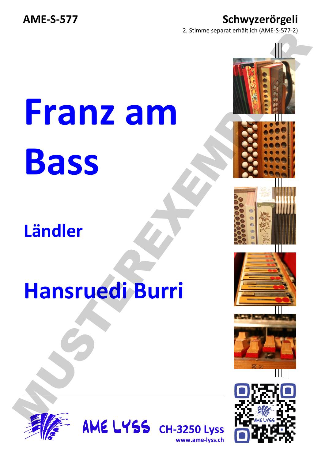### AME-S-577 Schwyzerörgeli

2. Stimme separat erhältlich (AME-S-577-2)

# **Franz am Bass** Franz am<br>Bass<br>Ländler<br>Hansruedi Burri

# **Ländler**

# **Hansruedi Burri**



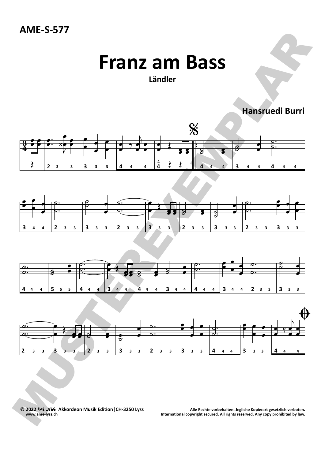## **Franz am Bass**

### **Ländler**

**Hansruedi Burri**









Me LYSS | Akkordeon Musik Edition | CH-3250 Lyss Music Rechte vorbehalten. Jegliche Kopierart gesetzlich verboten (CH-3250 Lyss Music Rechte vorbehalten. Jegliche Kopierart gesetzlich verboten.<br>.www.ame-lyss.ch by law. **www.ame‐lyss.ch International copyright secured. All rights reserved. Any copy prohibited by law.**